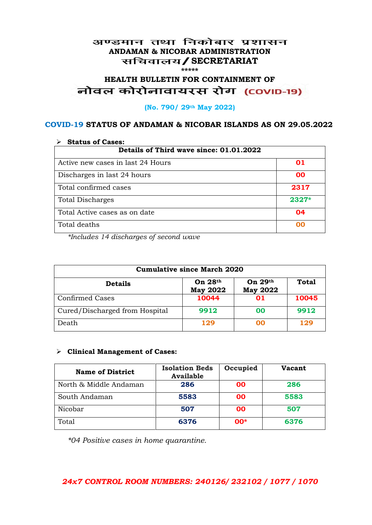## अण्डमान तथा निकोबार प्रशासन **ANDAMAN & NICOBAR ADMINISTRATION /SECRETARIAT \*\*\*\*\***

# HEALTH BULLETIN FOR CONTAINMENT OF<br>बोवल कोरोनावायरस रोग (COVID-19)

### **(No. 790/ 29th May 2022)**

## **COVID-19 STATUS OF ANDAMAN & NICOBAR ISLANDS AS ON 29.05.2022**

| <b>Status of Cases:</b>                 |         |  |
|-----------------------------------------|---------|--|
| Details of Third wave since: 01.01.2022 |         |  |
| Active new cases in last 24 Hours       | 01      |  |
| Discharges in last 24 hours             | 00      |  |
| Total confirmed cases                   | 2317    |  |
| <b>Total Discharges</b>                 | $2327*$ |  |
| Total Active cases as on date           | 04      |  |
| Total deaths                            | იი      |  |

*\*Includes 14 discharges of second wave*

| <b>Cumulative since March 2020</b> |                              |                              |              |
|------------------------------------|------------------------------|------------------------------|--------------|
| <b>Details</b>                     | On $28th$<br><b>May 2022</b> | On $29th$<br><b>May 2022</b> | <b>Total</b> |
| <b>Confirmed Cases</b>             | 10044                        | 01                           | 10045        |
| Cured/Discharged from Hospital     | 9912                         | 00                           | 9912         |
| Death                              | 129                          | 00                           | 129          |

#### **Clinical Management of Cases:**

| <b>Name of District</b> | <b>Isolation Beds</b><br><b>Available</b> | Occupied  | Vacant |
|-------------------------|-------------------------------------------|-----------|--------|
| North & Middle Andaman  | 286                                       | <b>OO</b> | 286    |
| South Andaman           | 5583                                      | 00        | 5583   |
| Nicobar                 | 507                                       | <b>OO</b> | 507    |
| Total                   | 6376                                      | $00*$     | 6376   |

*\*04 Positive cases in home quarantine.*

# *24x7 CONTROL ROOM NUMBERS: 240126/ 232102 / 1077 / 1070*